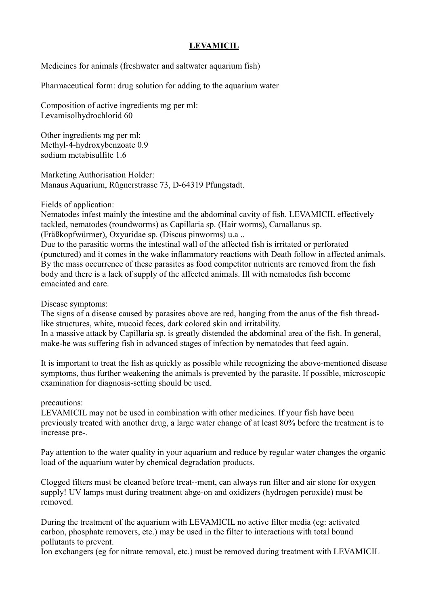## **LEVAMICIL**

Medicines for animals (freshwater and saltwater aquarium fish)

Pharmaceutical form: drug solution for adding to the aquarium water

Composition of active ingredients mg per ml: Levamisolhydrochlorid 60

Other ingredients mg per ml: Methyl-4-hydroxybenzoate 0.9 sodium metabisulfite 1.6

Marketing Authorisation Holder: Manaus Aquarium, Rügnerstrasse 73, D-64319 Pfungstadt.

Fields of application:

Nematodes infest mainly the intestine and the abdominal cavity of fish. LEVAMICIL effectively tackled, nematodes (roundworms) as Capillaria sp. (Hair worms), Camallanus sp. (Fräßkopfwürmer), Oxyuridae sp. (Discus pinworms) u.a ..

Due to the parasitic worms the intestinal wall of the affected fish is irritated or perforated (punctured) and it comes in the wake inflammatory reactions with Death follow in affected animals. By the mass occurrence of these parasites as food competitor nutrients are removed from the fish body and there is a lack of supply of the affected animals. Ill with nematodes fish become emaciated and care.

Disease symptoms:

The signs of a disease caused by parasites above are red, hanging from the anus of the fish threadlike structures, white, mucoid feces, dark colored skin and irritability. In a massive attack by Capillaria sp. is greatly distended the abdominal area of the fish. In general,

make-he was suffering fish in advanced stages of infection by nematodes that feed again.

It is important to treat the fish as quickly as possible while recognizing the above-mentioned disease symptoms, thus further weakening the animals is prevented by the parasite. If possible, microscopic examination for diagnosis-setting should be used.

precautions:

LEVAMICIL may not be used in combination with other medicines. If your fish have been previously treated with another drug, a large water change of at least 80% before the treatment is to increase pre-.

Pay attention to the water quality in your aquarium and reduce by regular water changes the organic load of the aquarium water by chemical degradation products.

Clogged filters must be cleaned before treat--ment, can always run filter and air stone for oxygen supply! UV lamps must during treatment abge-on and oxidizers (hydrogen peroxide) must be removed.

During the treatment of the aquarium with LEVAMICIL no active filter media (eg: activated carbon, phosphate removers, etc.) may be used in the filter to interactions with total bound pollutants to prevent.

Ion exchangers (eg for nitrate removal, etc.) must be removed during treatment with LEVAMICIL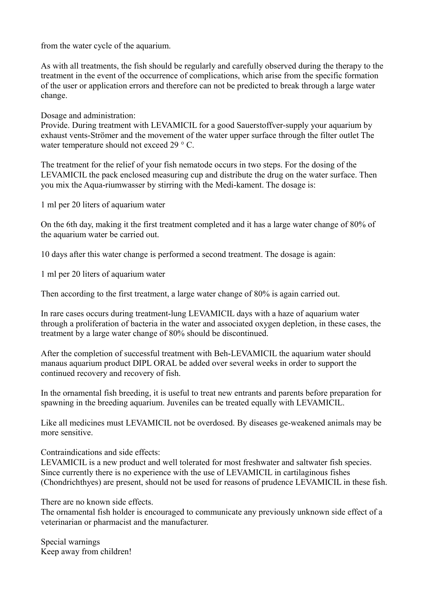from the water cycle of the aquarium.

As with all treatments, the fish should be regularly and carefully observed during the therapy to the treatment in the event of the occurrence of complications, which arise from the specific formation of the user or application errors and therefore can not be predicted to break through a large water change.

Dosage and administration:

Provide. During treatment with LEVAMICIL for a good Sauerstoffver-supply your aquarium by exhaust vents-Strömer and the movement of the water upper surface through the filter outlet The water temperature should not exceed 29 ° C.

The treatment for the relief of your fish nematode occurs in two steps. For the dosing of the LEVAMICIL the pack enclosed measuring cup and distribute the drug on the water surface. Then you mix the Aqua-riumwasser by stirring with the Medi-kament. The dosage is:

1 ml per 20 liters of aquarium water

On the 6th day, making it the first treatment completed and it has a large water change of 80% of the aquarium water be carried out.

10 days after this water change is performed a second treatment. The dosage is again:

1 ml per 20 liters of aquarium water

Then according to the first treatment, a large water change of 80% is again carried out.

In rare cases occurs during treatment-lung LEVAMICIL days with a haze of aquarium water through a proliferation of bacteria in the water and associated oxygen depletion, in these cases, the treatment by a large water change of 80% should be discontinued.

After the completion of successful treatment with Beh-LEVAMICIL the aquarium water should manaus aquarium product DIPL ORAL be added over several weeks in order to support the continued recovery and recovery of fish.

In the ornamental fish breeding, it is useful to treat new entrants and parents before preparation for spawning in the breeding aquarium. Juveniles can be treated equally with LEVAMICIL.

Like all medicines must LEVAMICIL not be overdosed. By diseases ge-weakened animals may be more sensitive.

Contraindications and side effects:

LEVAMICIL is a new product and well tolerated for most freshwater and saltwater fish species. Since currently there is no experience with the use of LEVAMICIL in cartilaginous fishes (Chondrichthyes) are present, should not be used for reasons of prudence LEVAMICIL in these fish.

There are no known side effects.

The ornamental fish holder is encouraged to communicate any previously unknown side effect of a veterinarian or pharmacist and the manufacturer.

Special warnings Keep away from children!